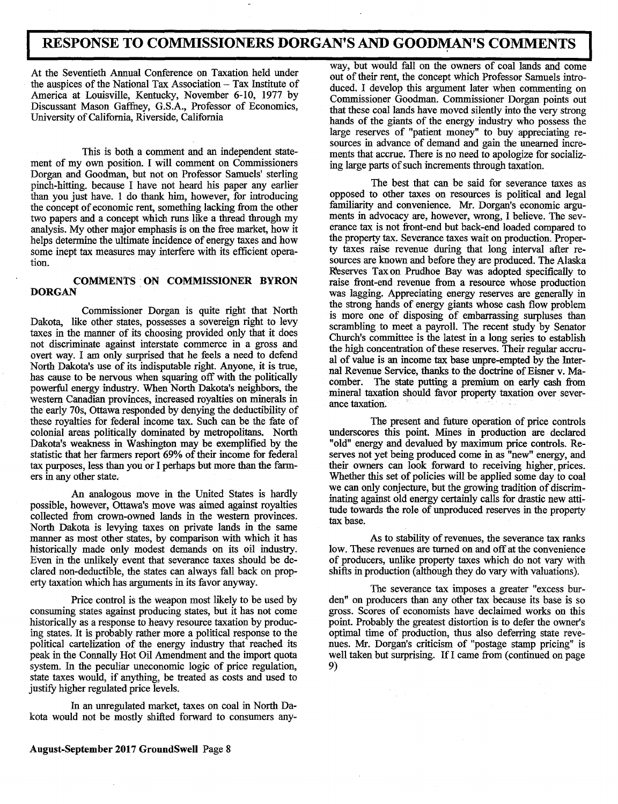# **I RESPONSE TO COMMISSIONERS DORGAN'S AND GOODMAN'S COMMENTS**

the auspices of the National Tax Association - Tax Institute of America at Louisville, Kentucky, November 6-10, 1977 by Discussant Mason Gaffney, G.S.A., Professor of Economics, University of California, Riverside, California

This is both a comment and an independent statement of my own position. I will comment on Commissioners Dorgan and Goodman, but not on Professor Samuels' sterling pinch-hitting. because I have not heard his paper any earlier than you just have. 1 do thank him, however, for introducing the concept of economic rent, something lacking from the other two papers and a concept which runs like a thread through my analysis. My other major emphasis is on the free market, how it helps determine the ultimate incidence of energy taxes and how some inept tax measures may interfere with its efficient operation.

## **COMMENTS** .  **ON COMMISSIONER BYRON DORGAN**

Commissioner Dorgan is quite right that North Dakota, like other states, possesses a sovereign right to levy taxes in the manner of its choosing provided only that it does not discriminate against interstate commerce in a gross and overt way. I am only surprised that he feels a need to defend North Dakota's use of its indisputable right. Anyone, it is true, has cause to be nervous when squaring off with the politically powerful energy industry. When North Dakota's neighbors, the western Canadian provinces, increased royalties on minerals in the early 70s, Ottawa responded by denying the deductibility of these royalties for federal income tax. Such can be the fate of colonial areas politically dominated by metropolitans. North Dakota's weakness in Washington may be exemplified by the statistic that her farmers report 69% of their income for federal tax purposes, less than you or I perhaps but more than the farmers in any other state.

An analogous move in the United States is hardly possible, however, Ottawa's move was aimed against royalties collected from crown-owned lands in the western provinces. North Dakota is levying taxes on private lands in the same manner as most other states, by comparison with which it has historically made only modest demands on its oil industry. Even in the unlikely event that severance taxes should be declared non-deductible, the states can always fall back on property taxation which has arguments in its favor anyway.

Price control is the weapon most likely to be used by consuming states against producing states, but it has not come historically as a response to heavy resource taxation by producing states. It is probably rather more a political response to the political cartelization of the energy industry that reached its peak in the Connally Hot Oil Amendment and the import quota system. In the peculiar uneconomic logic of price regulation, state taxes would, if anything, be treated as costs and used to justify higher regulated price levels.

In an unregulated market, taxes on coal in North Dakota would not be mostly shifted forward to consumers any-

- - - - - - Way, but would fall on the owners of coal lands and come<br>At the Seventieth Annual Conference on Taxation held under<br>
- - out of their rent, the done<br>
the one which Professor Servels introout of their rent, the concept which Professor Samuels introduced. I develop this argument later when commenting on Commissioner Goodman. Commissioner Dorgan points out that these coal lands have moved silently into the very strong hands of the giants of the energy industry who possess the large reserves of "patient money" to buy appreciating resources in advance of demand and gain the unearned increments that accrue. There is no need to apologize for socializing large parts of such increments through taxation.

> The best that can be said for severance taxes as opposed to other taxes on resources is political and legal familiarity and convenience. Mr. Dorgan's economic arguments in advocacy are, however, wrong, I believe. The severance tax is not front-end but back-end loaded compared to the property tax. Severance taxes wait on production. Property taxes raise revenue during that long interval after resources are known and before they are produced. The Alaska Reserves Tax on Prudhoe Bay was adopted specifically to raise front-end revenue from a resource whose production was lagging. Appreciating energy reserves are generally in the strong hands of energy giants whose cash flow problem is more one of disposing of embarrassing surpluses than scrambling to meet a payroll. The recent study by Senator Church's committee is the latest in a long series to establish the high concentration of these reserves. Their regular accrual of value is an income tax base unpre-empted by the Internal Revenue Service, thanks to the doctrine of Eisner v. Macomber. The state putting a premium on early cash from mineral taxation should favor property taxation over sever-<br>ance taxation.

> The present and future operation of price controls underscores this point. Mines in production are declared "old" energy and devalued by maximum price controls. Reserves not yet being produced come in as "new" energy, and their owners can look forward to receiving higher, prices. Whether this set of policies will be applied some day to coal we can only conjecture, but the growing tradition of discriminating against old energy certainly calls for drastic new attitude towards the role of unproduced reserves in the property tax base.

> As to stability of revenues, the severance tax ranks low. These revenues are turned on and off at the convenience of producers, unlike property taxes which do not vary with shifts in production (although they do vary with valuations).

> The severance tax imposes a greater "excess burden" on producers than any other tax because its base is so gross. Scores of economists have declaimed works on this point. Probably the greatest distortion is to defer the owner's optimal time of production, thus also deferring state revenues. Mr. Dorgan's criticism of "postage stamp pricing" is well taken but surprising. If I came from (continued on page 9)

## **August-September 2017 GroundSwell** Page 8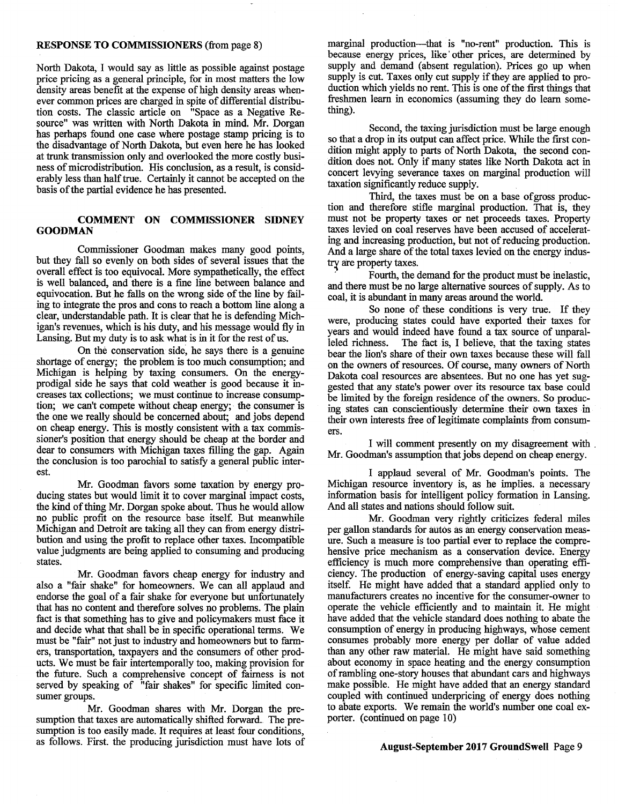## **RESPONSE TO COMMISSIONERS** (from page 8)

North Dakota, I would say as little as possible against postage price pricing as a general principle, for in most matters the low density areas benefit at the expense of high density areas whenever common prices are charged in spite of differential distribution costs. The classic article on "Space as a Negative Resource" was written with North Dakota in mind. Mr. Dorgan has perhaps found one case where postage stamp pricing is to the disadvantage of North Dakota, but even here he has looked at trunk transmission only and overlooked the more costly business of microdistribution. His conclusion, as a result, is considerably less than half true. Certainly it cannot be accepted on the basis of the partial evidence he has presented.

## **COMMENT ON COMMISSIONER SIDNEY GOODMAN**

Commissioner Goodman makes many good points, but they fall so evenly on both sides of several issues that the overall effect is too equivocal. More sympathetically, the effect is well balanced, and there is a fine line between balance and equivocation. But he falls on the wrong side of the line by failing to integrate the pros and cons to reach a bottom line along a clear, understandable path. It is clear that he is defending Michigan's revenues, which is his duty, and his message would fly in Lansing. But my duty is to ask what is in it for the rest of us.

On the conservation side, he says there is a genuine shortage of energy; the problem is too much consumption; and Michigan is helping by taxing consumers. On the energyprodigal side he says that cold weather is good because it increases tax collections; we must continue to increase consumption; we can't compete without cheap energy; the consumer is the one we really should be concerned about; and jobs depend on cheap energy. This is mostly consistent with a tax commissioner's position that energy should be cheap at the border and dear to consumers with Michigan taxes filling the gap. Again the conclusion is too parochial to satisfy a general public interest.

Mr. Goodman favors some taxation by energy producing states but would limit it to cover marginal impact costs, the kind of thing Mr. Dorgan spoke about. Thus he would allow no public profit on the resource base itself. But meanwhile Michigan and Detroit are taking all they can from energy distribution and using the profit to replace other taxes. Incompatible value judgments are being applied to consuming and producing states.

Mr. Goodman favors cheap energy for industry and also a "fair shake" for homeowners. We can all applaud and endorse the goal of a fair shake for everyone but unfortunately that has no content and therefore solves no problems. The plain fact is that something has to give and policymakers must face it and decide what that shall be in specific operational terms. We must be "fair" not just to industry and homeowners but to farmers, transportation, taxpayers and the consumers of other products. We must be fair intertemporally too, making provision for the future. Such a comprehensive concept of fairness is not served by speaking of "fair shakes" for specific limited consumer groups.

Mr. Goodman shares with Mr. Dorgan the presumption that taxes are automatically shifted forward.. The presumption is too easily made. It requires at least four conditions, as follows. First. the producing jurisdiction must have lots of marginal production—that is "no-rent" production. This is because energy prices, like other prices, are determined by supply and demand (absent regulation). Prices go up when supply is cut. Taxes only cut supply if they are applied to production which yields no rent. This is one of the first things that freshmen learn in economics (assuming they do learn something).

Second, the taxing jurisdiction must be large enough so that a drop in its output can affect price. While the first condition might apply to parts of North Dakota, the second condition does not. Only if many states like North Dakota act in concert levying severance taxes on marginal production will taxation significantly reduce supply.

Third, the taxes must be on a base ofgross production and therefore stifle marginal production. That is, they must not be property taxes or net proceeds taxes. Property taxes levied on coal reserves have been accused of accelerating and increasing production, but not of reducing production. And a large share of the total taxes levied on the energy industry are property taxes.

Fourth, the demand for the product must be inelastic, and there must be no large alternative sources of supply. As to coal, it is abundant in many areas around the world.

So none of these conditions is very true. If they were, producing states could have exported their taxes for years and would indeed have found a tax source of unparalleled richness. The fact is, I believe, that the taxing states bear the lion's share of their own taxes because these will fall on the owners of resources. Of course, many owners of North Dakota coal resources are absentees. But no one has yet suggested that any state's power over its resource tax base could be limited by the foreign residence of the owners. So producing states can conscientiously determine their own taxes in their own interests free of legitimate complaints from consumers.

I will comment presently on my disagreement with Mr. Goodman's assumption that jobs depend on cheap energy.

I applaud several of Mr. Goodman's points. The Michigan resource inventory is, as he implies. a necessary information basis for intelligent policy formation in Lansing. And all states and nations should follow suit.

Mr. Goodman very rightly criticizes federal miles per gallon standards for autos as an energy conservation measure. Such a measure is too partial ever to replace the comprehensive price mechanism as a conservation device. Energy efficiency is much more comprehensive than operating efficiency. The production of energy-saving capital uses energy itself. He might have added that a standard applied only to manufacturers creates no incentive for the consumer-owner to operate the vehicle efficiently and to maintain it. He might have added that the vehicle standard does nothing to abate the consumption of energy in producing highways, whose cement consumes probably more energy per dollar of value added than any other raw material. He might have said something about economy in space heating and the energy consumption of rambling one-story houses that abundant cars and highways make possible. He might have added that an energy standard coupled with continued underpricing of energy does nothing to abate exports. We remain the world's number one coal exporter. (continued on page 10)

### **August-September 2017 GroundSwell** Page 9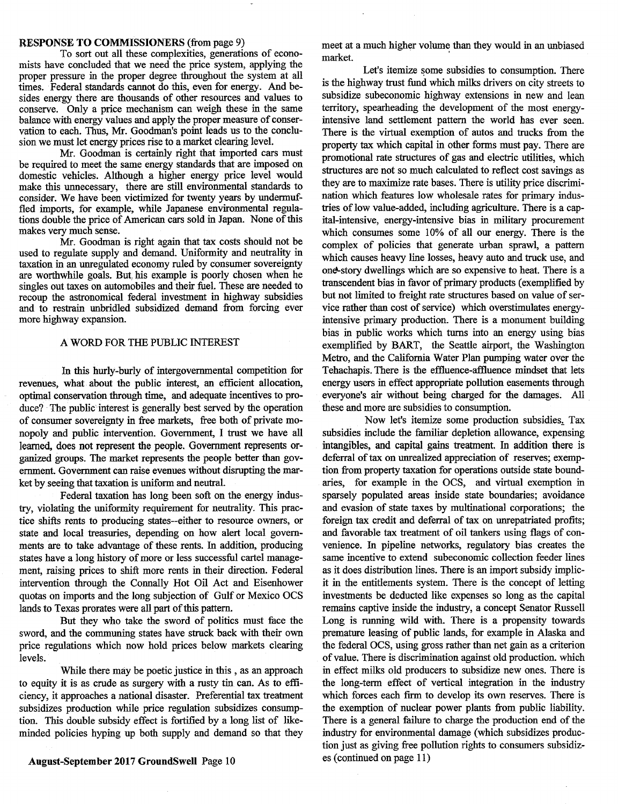#### **RESPONSE TO COMMISSIONERS** (from page 9)

To sort out all these complexities, generations of economists have concluded that we need the price system, applying the proper pressure in the proper degree throughout the system at all times. Federal standards cannot do this, even for energy. And besides energy there are thousands of other resources and values to conserve. Only a price mechanism can weigh these in the same balance with energy values and apply the proper measure of conservation to each. Thus, Mr. Goodman's point leads us to the conclusion we must let energy prices rise to a market clearing level.

Mr. Goodman is certainly right that imported cars must be required to meet the same energy standards that are imposed on domestic vehicles. Although a higher energy price level would make this unnecessary, there are still environmental standards to consider. We have been victimized for twenty years by undermuffled imports, for example, while Japanese environmental regulations double the price of American cars sold in Japan. None of this makes very much sense.

Mr. Goodman is right again that tax costs should not be used to regulate supply and demand. Uniformity and neutrality in taxation in an unregulated economy ruled by consumer sovereignty are worthwhile goals. But, his example is poorly chosen when he singles out taxes on automobiles and their fuel. These are needed to recoup the astronomical federal investment in highway subsidies and to restrain unbridled subsidized demand from forcing ever more highway expansion.

## A WORD FOR THE PUBLIC INTEREST

In this hurly-burly of intergovernmental competition for revenues, what about the public interest, an efficient allocation, optimal conservation through time, and adequate incentives to produce? The public interest is generally best served by the operation of consumer sovereignty in free markets, free both of private monopoly and public intervention. Government, I trust we have all learned, does not represent the people. Government represents organized groups. The market represents the people better than government. Government can raise evenues without disrupting the market by seeing that taxation is uniform and neutral.

Federal taxation has long been soft on the energy industry, violating the uniformity requirement for neutrality. This practice shifts rents to producing states--either to resource owners, or state and local treasuries, depending on how alert local governments are to take advantage of these rents. In addition, producing states have a long history of more or less successful cartel management, raising prices to shift more rents in their direction. Federal intervention through the Connally Hot Oil Act and Eisenhower quotas on imports and the long subjection of Gulf or Mexico OCS lands to Texas prorates were all part of this pattern.

But they who take the sword of politics must face the sword, and the communing states have struck back with their own price regulations which now hold prices below markets clearing levels.

While there may be poetic justice in this , as an approach to equity it is as crude as surgery with a rusty tin can. As to efficiency, it approaches a national disaster. Preferential tax treatment subsidizes production while price regulation subsidizes consumption. This double subsidy effect is fortified by a long list of likeminded policies hyping up both supply and demand so that they

August-September 2017 GroundSwell Page 10

meet at a much higher volume than they would in an unbiased market.

Let's itemize some subsidies to consumption. There is the highway trust fund which milks drivers on city streets to subsidize subeconomic highway extensions in new and lean territory, spearheading the development of the most energyintensive land settlement pattern the world has ever seen. There is the virtual exemption of autos and trucks from the property tax which capital in other forms must pay. There are promotional rate structures of gas and electric utilities, which structures are not so much calculated to reflect cost savings as they are to maximize rate bases. There is utility price discrimination which features low wholesale rates for primary industries of low value-added, including agriculture. There is a capital-intensive, energy-intensive bias in military procurement which consumes some 10% of all our energy. There is the complex of policies that generate urban sprawl, a pattern which causes heavy line losses, heavy auto and truck use, and one-story dwellings which are so expensive to heat. There is a transcendent bias in favor of primary products (exemplified by but not limited to freight rate structures based on value of service rather than cost of service) which overstimulates energyintensive primary production. There is a monument building bias in public works which turns into an energy using bias exemplified by BART, the Seattle airport, the Washington Metro, and the California Water Plan pumping water over the Tehachapis. There is the effluence-affluence mindset that lets energy users in effect appropriate pollution easements through everyone's air without being charged for the damages. All these and more are subsidies to consumption.

Now let's itemize some production subsidies. Tax subsidies include the familiar depletion allowance, expensing intangibles, and capital gains treatment. In addition there is deferral of tax on unrealized appreciation of reserves; exemption from property taxation for operations outside state boundaries, for example in the OCS, and virtual exemption in sparsely populated areas inside state boundaries; avoidance and evasion of state taxes by multinational corporations; the foreign tax credit and deferral of tax on unrepatriated profits; and favorable tax treatment of oil tankers using flags of convenience. In pipeline networks, regulatory bias creates the same incentive to extend subeconomic collection feeder lines as it does distribution lines. There is an import subsidy implicit in the entitlements system. There is the concept of letting investments be deducted like expenses so long as the capital remains captive inside the industry, a concept Senator Russell Long is running wild with. There is a propensity towards premature leasing of public lands, for example in Alaska and the federal OCS, using gross rather than net gain as a criterion of value. There is discrimination against old production. which in effect milks old producers to subsidize new ones. There is the long-term effect of vertical integration in the industry which forces each firm to develop its own reserves. There is the exemption of nuclear power plants from public liability. There is a general failure to charge the production end of the industry for environmental damage (which subsidizes production just as giving free pollution rights to consumers subsidizes (continued on page 11)